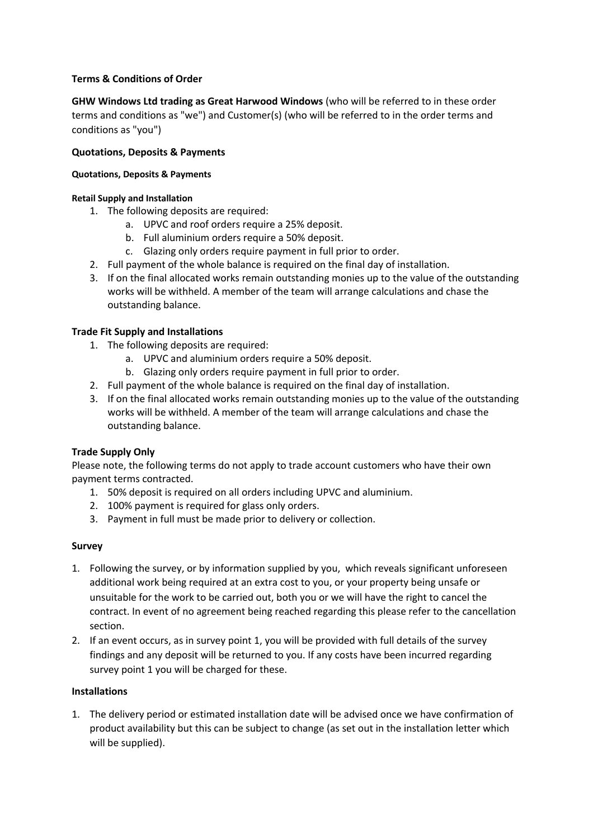# **Terms & Conditions of Order**

**GHW Windows Ltd trading as Great Harwood Windows** (who will be referred to in these order terms and conditions as "we") and Customer(s) (who will be referred to in the order terms and conditions as "you")

### **Quotations, Deposits & Payments**

#### **Quotations, Deposits & Payments**

#### **Retail Supply and Installation**

- 1. The following deposits are required:
	- a. UPVC and roof orders require a 25% deposit.
	- b. Full aluminium orders require a 50% deposit.
	- c. Glazing only orders require payment in full prior to order.
- 2. Full payment of the whole balance is required on the final day of installation.
- 3. If on the final allocated works remain outstanding monies up to the value of the outstanding works will be withheld. A member of the team will arrange calculations and chase the outstanding balance.

#### **Trade Fit Supply and Installations**

- 1. The following deposits are required:
	- a. UPVC and aluminium orders require a 50% deposit.
	- b. Glazing only orders require payment in full prior to order.
- 2. Full payment of the whole balance is required on the final day of installation.
- 3. If on the final allocated works remain outstanding monies up to the value of the outstanding works will be withheld. A member of the team will arrange calculations and chase the outstanding balance.

#### **Trade Supply Only**

Please note, the following terms do not apply to trade account customers who have their own payment terms contracted.

- 1. 50% deposit is required on all orders including UPVC and aluminium.
- 2. 100% payment is required for glass only orders.
- 3. Payment in full must be made prior to delivery or collection.

#### **Survey**

- 1. Following the survey, or by information supplied by you, which reveals significant unforeseen additional work being required at an extra cost to you, or your property being unsafe or unsuitable for the work to be carried out, both you or we will have the right to cancel the contract. In event of no agreement being reached regarding this please refer to the cancellation section.
- 2. If an event occurs, as in survey point 1, you will be provided with full details of the survey findings and any deposit will be returned to you. If any costs have been incurred regarding survey point 1 you will be charged for these.

#### **Installations**

1. The delivery period or estimated installation date will be advised once we have confirmation of product availability but this can be subject to change (as set out in the installation letter which will be supplied).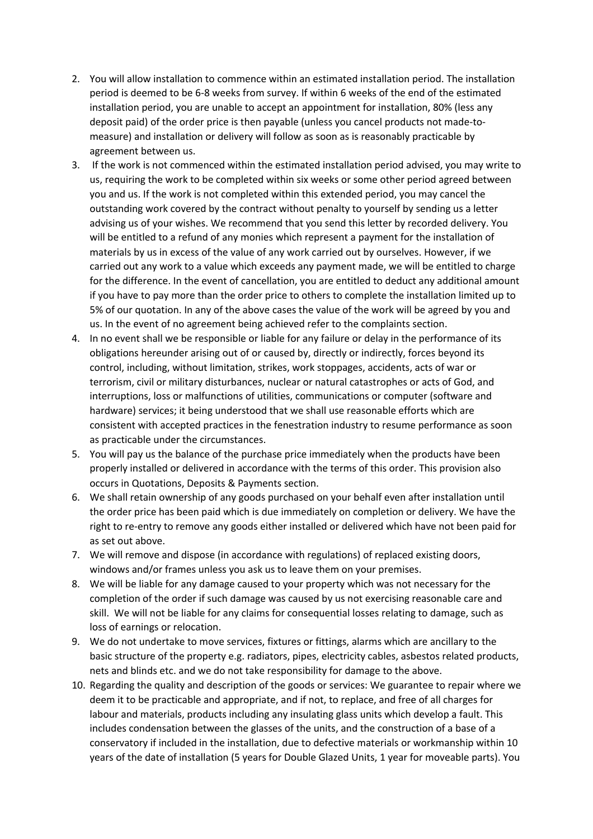- 2. You will allow installation to commence within an estimated installation period. The installation period is deemed to be 6-8 weeks from survey. If within 6 weeks of the end of the estimated installation period, you are unable to accept an appointment for installation, 80% (less any deposit paid) of the order price is then payable (unless you cancel products not made-tomeasure) and installation or delivery will follow as soon as is reasonably practicable by agreement between us.
- 3. If the work is not commenced within the estimated installation period advised, you may write to us, requiring the work to be completed within six weeks or some other period agreed between you and us. If the work is not completed within this extended period, you may cancel the outstanding work covered by the contract without penalty to yourself by sending us a letter advising us of your wishes. We recommend that you send this letter by recorded delivery. You will be entitled to a refund of any monies which represent a payment for the installation of materials by us in excess of the value of any work carried out by ourselves. However, if we carried out any work to a value which exceeds any payment made, we will be entitled to charge for the difference. In the event of cancellation, you are entitled to deduct any additional amount if you have to pay more than the order price to others to complete the installation limited up to 5% of our quotation. In any of the above cases the value of the work will be agreed by you and us. In the event of no agreement being achieved refer to the complaints section.
- 4. In no event shall we be responsible or liable for any failure or delay in the performance of its obligations hereunder arising out of or caused by, directly or indirectly, forces beyond its control, including, without limitation, strikes, work stoppages, accidents, acts of war or terrorism, civil or military disturbances, nuclear or natural catastrophes or acts of God, and interruptions, loss or malfunctions of utilities, communications or computer (software and hardware) services; it being understood that we shall use reasonable efforts which are consistent with accepted practices in the fenestration industry to resume performance as soon as practicable under the circumstances.
- 5. You will pay us the balance of the purchase price immediately when the products have been properly installed or delivered in accordance with the terms of this order. This provision also occurs in Quotations, Deposits & Payments section.
- 6. We shall retain ownership of any goods purchased on your behalf even after installation until the order price has been paid which is due immediately on completion or delivery. We have the right to re-entry to remove any goods either installed or delivered which have not been paid for as set out above.
- 7. We will remove and dispose (in accordance with regulations) of replaced existing doors, windows and/or frames unless you ask us to leave them on your premises.
- 8. We will be liable for any damage caused to your property which was not necessary for the completion of the order if such damage was caused by us not exercising reasonable care and skill. We will not be liable for any claims for consequential losses relating to damage, such as loss of earnings or relocation.
- 9. We do not undertake to move services, fixtures or fittings, alarms which are ancillary to the basic structure of the property e.g. radiators, pipes, electricity cables, asbestos related products, nets and blinds etc. and we do not take responsibility for damage to the above.
- 10. Regarding the quality and description of the goods or services: We guarantee to repair where we deem it to be practicable and appropriate, and if not, to replace, and free of all charges for labour and materials, products including any insulating glass units which develop a fault. This includes condensation between the glasses of the units, and the construction of a base of a conservatory if included in the installation, due to defective materials or workmanship within 10 years of the date of installation (5 years for Double Glazed Units, 1 year for moveable parts). You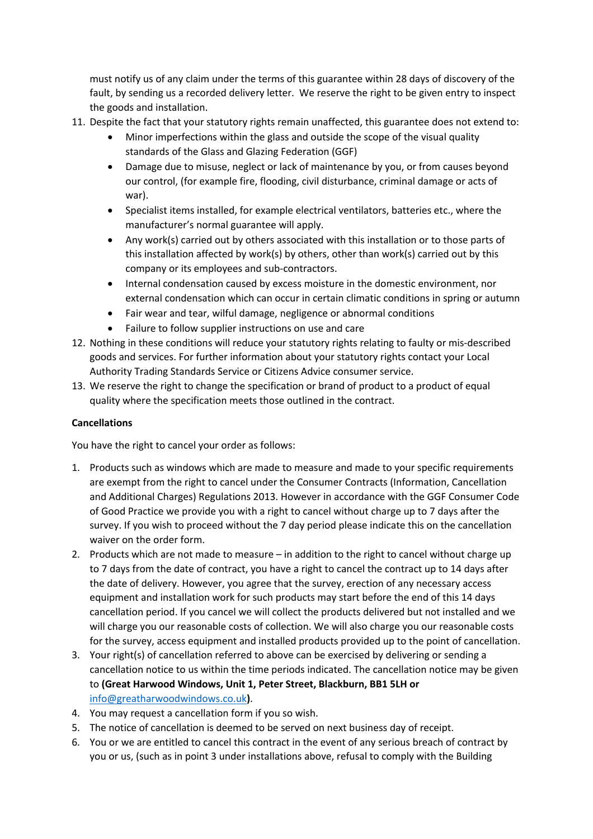must notify us of any claim under the terms of this guarantee within 28 days of discovery of the fault, by sending us a recorded delivery letter. We reserve the right to be given entry to inspect the goods and installation.

- 11. Despite the fact that your statutory rights remain unaffected, this guarantee does not extend to:
	- Minor imperfections within the glass and outside the scope of the visual quality standards of the Glass and Glazing Federation (GGF)
	- Damage due to misuse, neglect or lack of maintenance by you, or from causes beyond our control, (for example fire, flooding, civil disturbance, criminal damage or acts of war).
	- Specialist items installed, for example electrical ventilators, batteries etc., where the manufacturer's normal guarantee will apply.
	- Any work(s) carried out by others associated with this installation or to those parts of this installation affected by work(s) by others, other than work(s) carried out by this company or its employees and sub-contractors.
	- Internal condensation caused by excess moisture in the domestic environment, nor external condensation which can occur in certain climatic conditions in spring or autumn
	- Fair wear and tear, wilful damage, negligence or abnormal conditions
	- Failure to follow supplier instructions on use and care
- 12. Nothing in these conditions will reduce your statutory rights relating to faulty or mis-described goods and services. For further information about your statutory rights contact your Local Authority Trading Standards Service or Citizens Advice consumer service.
- 13. We reserve the right to change the specification or brand of product to a product of equal quality where the specification meets those outlined in the contract.

# **Cancellations**

You have the right to cancel your order as follows:

- 1. Products such as windows which are made to measure and made to your specific requirements are exempt from the right to cancel under the Consumer Contracts (Information, Cancellation and Additional Charges) Regulations 2013. However in accordance with the GGF Consumer Code of Good Practice we provide you with a right to cancel without charge up to 7 days after the survey. If you wish to proceed without the 7 day period please indicate this on the cancellation waiver on the order form.
- 2. Products which are not made to measure in addition to the right to cancel without charge up to 7 days from the date of contract, you have a right to cancel the contract up to 14 days after the date of delivery. However, you agree that the survey, erection of any necessary access equipment and installation work for such products may start before the end of this 14 days cancellation period. If you cancel we will collect the products delivered but not installed and we will charge you our reasonable costs of collection. We will also charge you our reasonable costs for the survey, access equipment and installed products provided up to the point of cancellation.
- 3. Your right(s) of cancellation referred to above can be exercised by delivering or sending a cancellation notice to us within the time periods indicated. The cancellation notice may be given to **(Great Harwood Windows, Unit 1, Peter Street, Blackburn, BB1 5LH or**  info@greatharwoodwindows.co.uk**)**.
- 4. You may request a cancellation form if you so wish.
- 5. The notice of cancellation is deemed to be served on next business day of receipt.
- 6. You or we are entitled to cancel this contract in the event of any serious breach of contract by you or us, (such as in point 3 under installations above, refusal to comply with the Building